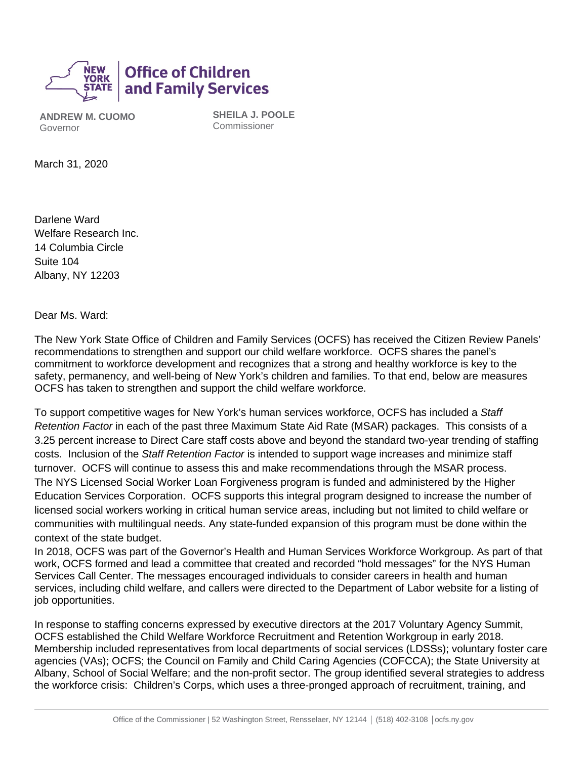

**ANDREW M. CUOMO** Governor

**SHEILA J. POOLE** Commissioner

March 31, 2020

Darlene Ward Welfare Research Inc. 14 Columbia Circle Suite 104 Albany, NY 12203

Dear Ms. Ward:

The New York State Office of Children and Family Services (OCFS) has received the Citizen Review Panels' recommendations to strengthen and support our child welfare workforce. OCFS shares the panel's commitment to workforce development and recognizes that a strong and healthy workforce is key to the safety, permanency, and well-being of New York's children and families. To that end, below are measures OCFS has taken to strengthen and support the child welfare workforce.

To support competitive wages for New York's human services workforce, OCFS has included a *Staff Retention Factor* in each of the past three Maximum State Aid Rate (MSAR) packages. This consists of a 3.25 percent increase to Direct Care staff costs above and beyond the standard two-year trending of staffing costs. Inclusion of the *Staff Retention Factor* is intended to support wage increases and minimize staff turnover. OCFS will continue to assess this and make recommendations through the MSAR process. The NYS Licensed Social Worker Loan Forgiveness program is funded and administered by the Higher Education Services Corporation. OCFS supports this integral program designed to increase the number of licensed social workers working in critical human service areas, including but not limited to child welfare or communities with multilingual needs. Any state-funded expansion of this program must be done within the context of the state budget.

In 2018, OCFS was part of the Governor's Health and Human Services Workforce Workgroup. As part of that work, OCFS formed and lead a committee that created and recorded "hold messages" for the NYS Human Services Call Center. The messages encouraged individuals to consider careers in health and human services, including child welfare, and callers were directed to the Department of Labor website for a listing of job opportunities.

In response to staffing concerns expressed by executive directors at the 2017 Voluntary Agency Summit, OCFS established the Child Welfare Workforce Recruitment and Retention Workgroup in early 2018. Membership included representatives from local departments of social services (LDSSs); voluntary foster care agencies (VAs); OCFS; the Council on Family and Child Caring Agencies (COFCCA); the State University at Albany, School of Social Welfare; and the non-profit sector. The group identified several strategies to address the workforce crisis: Children's Corps, which uses a three-pronged approach of recruitment, training, and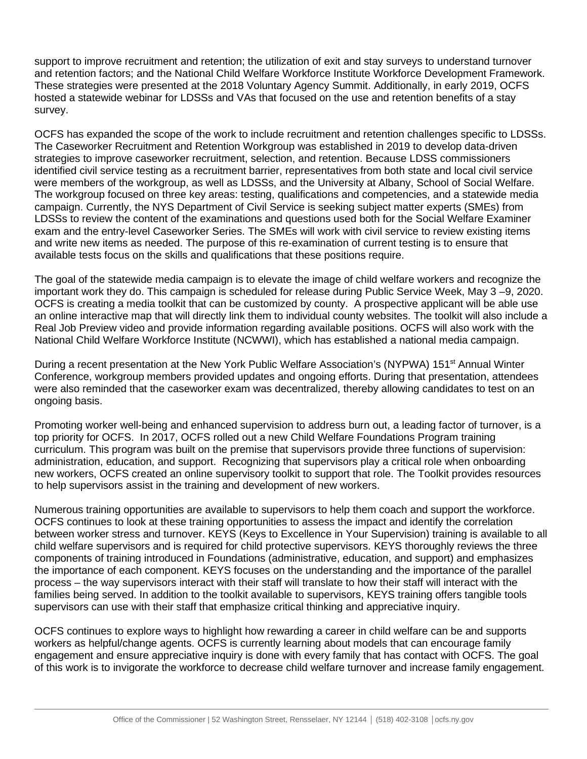support to improve recruitment and retention; the utilization of exit and stay surveys to understand turnover and retention factors; and the National Child Welfare Workforce Institute Workforce Development Framework. These strategies were presented at the 2018 Voluntary Agency Summit. Additionally, in early 2019, OCFS hosted a statewide webinar for LDSSs and VAs that focused on the use and retention benefits of a stay survey.

OCFS has expanded the scope of the work to include recruitment and retention challenges specific to LDSSs. The Caseworker Recruitment and Retention Workgroup was established in 2019 to develop data-driven strategies to improve caseworker recruitment, selection, and retention. Because LDSS commissioners identified civil service testing as a recruitment barrier, representatives from both state and local civil service were members of the workgroup, as well as LDSSs, and the University at Albany, School of Social Welfare. The workgroup focused on three key areas: testing, qualifications and competencies, and a statewide media campaign. Currently, the NYS Department of Civil Service is seeking subject matter experts (SMEs) from LDSSs to review the content of the examinations and questions used both for the Social Welfare Examiner exam and the entry-level Caseworker Series. The SMEs will work with civil service to review existing items and write new items as needed. The purpose of this re-examination of current testing is to ensure that available tests focus on the skills and qualifications that these positions require.

The goal of the statewide media campaign is to elevate the image of child welfare workers and recognize the important work they do. This campaign is scheduled for release during Public Service Week, May 3 –9, 2020. OCFS is creating a media toolkit that can be customized by county. A prospective applicant will be able use an online interactive map that will directly link them to individual county websites. The toolkit will also include a Real Job Preview video and provide information regarding available positions. OCFS will also work with the National Child Welfare Workforce Institute (NCWWI), which has established a national media campaign.

During a recent presentation at the New York Public Welfare Association's (NYPWA) 151<sup>st</sup> Annual Winter Conference, workgroup members provided updates and ongoing efforts. During that presentation, attendees were also reminded that the caseworker exam was decentralized, thereby allowing candidates to test on an ongoing basis.

Promoting worker well-being and enhanced supervision to address burn out, a leading factor of turnover, is a top priority for OCFS. In 2017, OCFS rolled out a new Child Welfare Foundations Program training curriculum. This program was built on the premise that supervisors provide three functions of supervision: administration, education, and support. Recognizing that supervisors play a critical role when onboarding new workers, OCFS created an online supervisory toolkit to support that role. The Toolkit provides resources to help supervisors assist in the training and development of new workers.

Numerous training opportunities are available to supervisors to help them coach and support the workforce. OCFS continues to look at these training opportunities to assess the impact and identify the correlation between worker stress and turnover. KEYS (Keys to Excellence in Your Supervision) training is available to all child welfare supervisors and is required for child protective supervisors. KEYS thoroughly reviews the three components of training introduced in Foundations (administrative, education, and support) and emphasizes the importance of each component. KEYS focuses on the understanding and the importance of the parallel process – the way supervisors interact with their staff will translate to how their staff will interact with the families being served. In addition to the toolkit available to supervisors, KEYS training offers tangible tools supervisors can use with their staff that emphasize critical thinking and appreciative inquiry.

OCFS continues to explore ways to highlight how rewarding a career in child welfare can be and supports workers as helpful/change agents. OCFS is currently learning about models that can encourage family engagement and ensure appreciative inquiry is done with every family that has contact with OCFS. The goal of this work is to invigorate the workforce to decrease child welfare turnover and increase family engagement.